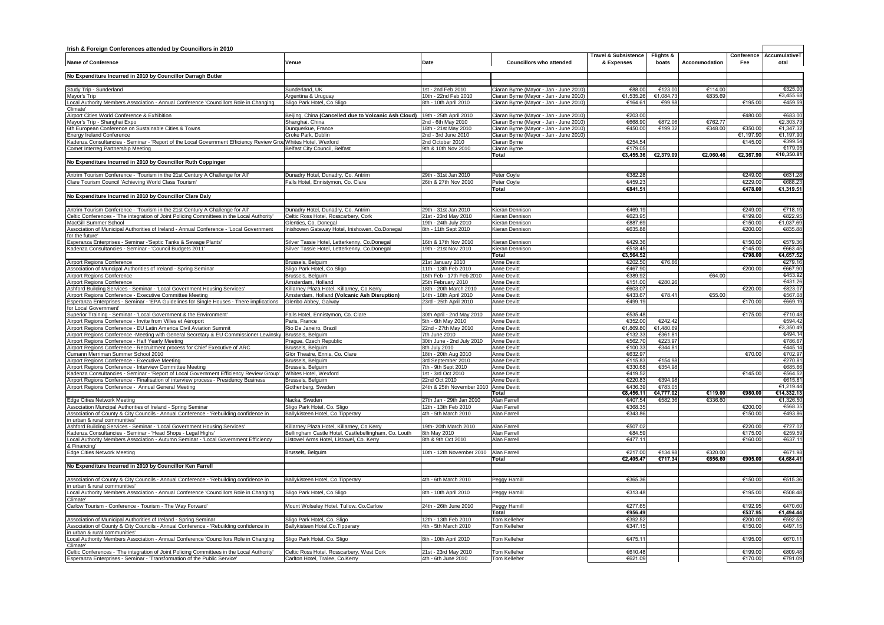| Irish & Foreign Conferences attended by Councillors in 2010                                                                                          |                                                                                                 |                                               |                                                                                 |                                               |                     |                    |                    |                       |  |
|------------------------------------------------------------------------------------------------------------------------------------------------------|-------------------------------------------------------------------------------------------------|-----------------------------------------------|---------------------------------------------------------------------------------|-----------------------------------------------|---------------------|--------------------|--------------------|-----------------------|--|
| <b>Name of Conference</b>                                                                                                                            | Venue                                                                                           | Date                                          | <b>Councillors who attended</b>                                                 | <b>Travel &amp; Subsistence</b><br>& Expenses | Flights &<br>boats  | Accommodation      | Conference<br>Fee  | AccumulativeT<br>otal |  |
| No Expenditure Incurred in 2010 by Councillor Darragh Butler                                                                                         |                                                                                                 |                                               |                                                                                 |                                               |                     |                    |                    |                       |  |
|                                                                                                                                                      |                                                                                                 |                                               |                                                                                 |                                               |                     |                    |                    |                       |  |
| Study Trip - Sunderland                                                                                                                              | Sunderland, UK                                                                                  | 1st - 2nd Feb 2010                            | Ciaran Byrne (Mayor - Jan - June 2010                                           | €88.00                                        | €123.0              | €114.00<br>€835.69 |                    | €325.00<br>€3,455.68  |  |
| Mayor's Trip<br>Local Authority Members Association - Annual Conference 'Councillors Role in Changing                                                | Argentina & Uruguay<br>Sligo Park Hotel, Co.Sligo                                               | 10th - 22nd Feb 2010<br>8th - 10th April 2010 | Ciaran Byrne (Mayor - Jan - June 2010)<br>Ciaran Byrne (Mayor - Jan - June 2010 | €1,535.26<br>€164.61                          | €1,084.73<br>€99.98 |                    | €195.00            | €459.59               |  |
| Climate'                                                                                                                                             |                                                                                                 |                                               |                                                                                 |                                               |                     |                    |                    |                       |  |
| Airport Cities World Conference & Exhibition                                                                                                         | Beijing, China (Cancelled due to Volcanic Ash Cloud)   19th - 25th April 2010                   |                                               | Ciaran Byrne (Mayor - Jan - June 2010)                                          | €203.00                                       |                     |                    | €480.00            | €683.00               |  |
| Mayor's Trip - Shanghai Expo                                                                                                                         | Shanghai, China                                                                                 | 2nd - 6th May 2010                            | Ciaran Byrne (Mayor - Jan - June 2010)                                          | €668.90                                       | €872.00             | €762.77            |                    | €2,303.73             |  |
| 6th European Conference on Sustainable Cities & Towns                                                                                                | Dunguerkue, France                                                                              | 18th - 21st May 2010                          | Ciaran Byrne (Mayor - Jan - June 2010)                                          | €450.00                                       | €199.32             | €348.00            | €350.00            | €1.347.32             |  |
| <b>Energy Ireland Conference</b>                                                                                                                     | Croke Park, Dublin                                                                              | 2nd - 3rd June 2010                           | Ciaran Byrne (Mayor - Jan - June 2010)                                          |                                               |                     |                    | €1.197.90          | €1,197.90             |  |
| Kadenza Consultancies - Seminar - 'Report of the Local Government Efficiency Review Grou Whites Hotel, Wexford                                       |                                                                                                 | 2nd October 2010                              | Ciaran Byrne                                                                    | €254.54                                       |                     |                    | €145.0             | €399.54               |  |
| Comet Interreg Partnership Meeting                                                                                                                   | Belfast City Council, Belfast                                                                   | 9th & 10th Nov 2010                           | Ciaran Byrne<br>Total                                                           | €179.05<br>€3.455.36                          | €2.379.09           | €2.060.46          | €2,367.90          | €179.05<br>€10.350.81 |  |
| No Expenditure Incurred in 2010 by Councillor Ruth Coppinger                                                                                         |                                                                                                 |                                               |                                                                                 |                                               |                     |                    |                    |                       |  |
|                                                                                                                                                      |                                                                                                 |                                               |                                                                                 |                                               |                     |                    |                    |                       |  |
| Antrim Tourism Conference - 'Tourism in the 21st Century A Challenge for All'                                                                        | Dunadry Hotel, Dunadry, Co. Antrim                                                              | 29th - 31st Jan 2010                          | Peter Coyle                                                                     | €382.28                                       |                     |                    | €249.00            | €631.28               |  |
| Clare Tourism Council 'Achieving World Class Tourism'                                                                                                | Falls Hotel, Ennistymon, Co. Clare                                                              | 26th & 27th Nov 2010                          | Peter Coyle                                                                     | 64592                                         |                     |                    | €229.00            | <b>E688 23</b>        |  |
|                                                                                                                                                      |                                                                                                 |                                               | Total                                                                           | €841.51                                       |                     |                    | €478.00            | €1,319.51             |  |
| No Expenditure Incurred in 2010 by Councillor Clare Daly                                                                                             |                                                                                                 |                                               |                                                                                 |                                               |                     |                    |                    |                       |  |
|                                                                                                                                                      |                                                                                                 |                                               |                                                                                 |                                               |                     |                    |                    |                       |  |
| Antrim Tourism Conference - 'Tourism in the 21st Century A Challenge for All'                                                                        | Dunadry Hotel, Dunadry, Co. Antrim                                                              | 29th - 31st Jan 2010                          | Kieran Dennisor                                                                 | €469.1                                        |                     |                    | €249.00            | €718.19               |  |
| Celtic Conferences - 'The integration of Joint Policing Committees in the Local Authority'                                                           | Celtic Ross Hotel, Rosscarbery, Cork                                                            | 21st - 23rd May 2010                          | Kieran Dennison                                                                 | €623.9                                        |                     |                    | €199.00            | €822.95               |  |
| MacGill Summer School                                                                                                                                | Glenties, Co. Donegal                                                                           | 19th - 24th July 2010                         | Kieran Dennison                                                                 | €887.69                                       |                     |                    | €150.00            | €1,037.69             |  |
| Association of Municipal Authorities of Ireland - Annual Conference - 'Local Government<br>for the future'                                           | Inishowen Gateway Hotel, Inishowen, Co.Donegal                                                  | 8th - 11th Sept 2010                          | Kieran Dennison                                                                 | €635.88                                       |                     |                    | €200.00            | €835.88               |  |
| Esperanza Enterprises - Seminar -'Septic Tanks & Sewage Plants'                                                                                      | Silver Tassie Hotel, Letterkenny, Co.Donegal                                                    | 16th & 17th Nov 2010                          | Kieran Dennison                                                                 | €429.36                                       |                     |                    | €150.00            | €579.36               |  |
| Kadenza Consultancies - Seminar - 'Council Budgets 2011'                                                                                             | ilver Tassie Hotel, Letterkenny, Co.Donegal                                                     | 19th - 21st Nov 2010                          | Kieran Dennison                                                                 | €518.45                                       |                     |                    | €145.00            | €663.45               |  |
|                                                                                                                                                      |                                                                                                 |                                               | Total                                                                           | €3,564.52                                     |                     |                    | €798.00            | €4,657.52             |  |
| Airport Regions Conference                                                                                                                           | Brussels, Belguim                                                                               | 21st January 2010                             | Anne Devitt                                                                     | €202.50                                       | €76.66              |                    |                    | €279.16               |  |
| Association of Muncipal Authorities of Ireland - Spring Seminar                                                                                      | Sligo Park Hotel, Co.Sligo                                                                      | 11th - 13th Feb 2010                          | Anne Devitt                                                                     | £467.90                                       |                     |                    | €200.00            | €667.90               |  |
| Airport Regions Conference                                                                                                                           | Brussels, Belguim                                                                               | 16th Feb - 17th Feb 2010                      | Anne Devitt                                                                     | €389.92                                       |                     | €64.00             |                    | €453.92               |  |
| Airport Regions Conference                                                                                                                           | Amsterdam, Holland                                                                              | 25th February 2010                            | Anne Devitt                                                                     | €151.00                                       | €280.2              |                    |                    | €431.26               |  |
| Ashford Building Services - Seminar - 'Local Government Housing Services'                                                                            | Killarney Plaza Hotel, Killarney, Co.Kerry                                                      | 18th - 20th March 2010                        | Anne Devitt                                                                     | €603.07                                       |                     |                    | €220.00            | €823.07               |  |
| Airport Regions Conference - Executive Committee Meeting<br>Esperanza Enterprises - Seminar - 'EPA Guidelines for Single Houses - There implications | Amsterdam, Holland (Volcanic Ash Disruption)                                                    | 14th - 18th April 2010                        | Anne Devitt                                                                     | €433.67<br>€499.19                            | €78.41              | €55.00             | €170.00            | €567.08<br>€669.19    |  |
| for Local Government'                                                                                                                                | Glenbo Abbey, Galway                                                                            | 23rd - 25th April 2010                        | Anne Devitt                                                                     |                                               |                     |                    |                    |                       |  |
| Superior Training - Seminar - 'Local Government & the Environment'                                                                                   | Falls Hotel, Ennistymon, Co. Clare                                                              | 30th April - 2nd May 2010                     | Anne Devitt                                                                     | €535.48                                       |                     |                    | €175.00            | €710.48               |  |
| Airport Regions Conference - Invite from Villes et Aéroport                                                                                          | Paris, France                                                                                   | 5th - 6th May 2010                            | Anne Devitt                                                                     | €352.00                                       | €242.42             |                    |                    | €594.42               |  |
| Airport Regions Conference - EU Latin America Civil Aviation Summit                                                                                  | Rio De Janeiro, Brazil                                                                          | 22nd - 27th May 2010                          | Anne Devitt                                                                     | €1,869.80                                     | €1,480.69           |                    |                    | €3,350.49             |  |
| Airport Regions Conference - Meeting with General Secretary & EU Commissioner Lewinsky                                                               | Brussels, Belauim                                                                               | 7th June 2010                                 | <b>Anne Devitt</b>                                                              | £13233                                        | €361.8'             |                    |                    | €494.14               |  |
| Airport Regions Conference - Half Yearly Meeting                                                                                                     | Prague, Czech Republic                                                                          | 30th June - 2nd July 2010                     | <b>Anne Devitt</b>                                                              | €562.70                                       | €223.97             |                    |                    | €786.67               |  |
| Airport Regions Conference - Recruitment process for Chief Executive of ARC                                                                          | Brussels, Belguim                                                                               | 8th July 2010                                 | Anne Devitt                                                                     | €100.33                                       | €344.8              |                    |                    | €445.14               |  |
| Cumann Merriman Summer School 2010                                                                                                                   | Glór Theatre, Ennis, Co. Clare                                                                  | 18th - 20th Aug 2010                          | Anne Devitt                                                                     | €632.97                                       |                     |                    | €70.00             | €702.97               |  |
| Airport Regions Conference - Executive Meeting                                                                                                       | Brussels, Belguim<br>Brussels, Belguim                                                          | 3rd September 2010<br>7th - 9th Sept 2010     | Anne Devitt<br>Anne Devitt                                                      | €115.83<br>€330.68                            | €154.98<br>€354.98  |                    |                    | €270.81<br>€685.66    |  |
| Airport Regions Conference - Interview Committee Meeting<br>Kadenza Consultancies - Seminar - 'Report of Local Government Efficiency Review Group'   | Whites Hotel, Wexford                                                                           | 1st - 3rd Oct 2010                            | Anne Devitt                                                                     | €419.52                                       |                     |                    | €145.0             | €564.52               |  |
| Airport Regions Conference - Finalisation of interview process - Presidency Business                                                                 | Brussels, Belguim                                                                               | 22nd Oct 2010                                 | <b>Anne Devitt</b>                                                              | €220.83                                       | €394.98             |                    |                    | €615.81               |  |
| Airport Regions Conference - Annual General Meeting                                                                                                  | Sothenberg, Sweden                                                                              | 24th & 25th November 2010 Anne Devitt         |                                                                                 | €436.39                                       | €783.05             |                    |                    | €1,219.44             |  |
|                                                                                                                                                      |                                                                                                 |                                               | Total                                                                           | €8,456.11                                     | €4,777.02           | €119.00            | €980.00            | €14,332.13            |  |
| <b>Edge Cities Network Meeting</b>                                                                                                                   | Nacka, Sweden                                                                                   | 27th Jan - 29th Jan 2010                      | Alan Farrell                                                                    | €407.54                                       | €582.3              | €336.60            |                    | €1,326.50             |  |
| Association Muncipal Authorities of Ireland - Spring Seminar                                                                                         | Sligo Park Hotel, Co. Sligo                                                                     | 12th - 13th Feb 2010                          | Alan Farrell                                                                    | €368.3                                        |                     |                    | €200.00            | €568.35               |  |
| Association of County & City Councils - Annual Conference - 'Rebuilding confidence in                                                                | Ballykisteen Hotel, Co. Tipperary                                                               | 4th - 5th March 2010                          | Alan Farrell                                                                    | €343.86                                       |                     |                    | 61500              | €493.86               |  |
| in urban & rural communities'                                                                                                                        |                                                                                                 |                                               |                                                                                 |                                               |                     |                    |                    |                       |  |
| Ashford Building Services - Seminar - 'Local Government Housing Services'                                                                            | Killarney Plaza Hotel, Killarney, Co.Kerry                                                      | 19th- 20th March 2010                         | Alan Farrell<br>Alan Farrell                                                    | €507.0<br>€84.59                              |                     |                    | €220.00<br>€175.00 | €727.02<br>€259.59    |  |
| Kadenza Consultancies - Seminar - 'Head Shops - Legal Highs'<br>Local Authority Members Association - Autumn Seminar - 'Local Government Efficiency  | Bellingham Castle Hotel, Castlebellingham, Co. Louth<br>istowel Arms Hotel, Listowel, Co. Kerry | 8th May 2010<br>3th & 9th Oct 2010            | Alan Farrell                                                                    | €477.11                                       |                     |                    | €160.00            | €637.11               |  |
| & Financing'                                                                                                                                         |                                                                                                 |                                               |                                                                                 |                                               |                     |                    |                    |                       |  |
| <b>Edge Cities Network Meeting</b>                                                                                                                   | Brussels, Belauim                                                                               | 10th - 12th November 2010                     | Alan Farrell                                                                    | €217.00                                       | €134.98             | €320.00            |                    | €671.98               |  |
|                                                                                                                                                      |                                                                                                 |                                               | Total                                                                           | €2,405.47                                     | €717.34             | €656.60            | €905.00            | €4.684.41             |  |
| No Expenditure Incurred in 2010 by Councillor Ken Farrell                                                                                            |                                                                                                 |                                               |                                                                                 |                                               |                     |                    |                    |                       |  |
|                                                                                                                                                      |                                                                                                 |                                               |                                                                                 |                                               |                     |                    |                    |                       |  |
| Association of County & City Councils - Annual Conference - 'Rebuilding confidence in                                                                | Ballykisteen Hotel, Co. Tipperary                                                               | 4th - 6th March 2010                          | Peggy Hamill                                                                    | €365.3                                        |                     |                    | €150.00            | €515.36               |  |
| urban & rural communities                                                                                                                            |                                                                                                 |                                               |                                                                                 |                                               |                     |                    |                    |                       |  |
| ocal Authority Members Association - Annual Conference 'Councillors Role in Changing                                                                 | Sligo Park Hotel, Co.Sligo                                                                      | 8th - 10th April 2010                         | Peggy Hamill                                                                    | €313.48                                       |                     |                    | €195.0             | €508.48               |  |
| Iimate'<br>Carlow Tourism - Conference - Tourism - The Way Forward'                                                                                  | Mount Wolseley Hotel, Tullow, Co.Carlow                                                         | 24th - 26th June 2010                         | Peggy Hamill                                                                    | €277.65                                       |                     |                    | €192.9             | €470.60               |  |
|                                                                                                                                                      |                                                                                                 |                                               | Total                                                                           | €956.49                                       |                     |                    | €537.95            | €1.494.44             |  |
| Association of Municipal Authorities of Ireland - Spring Seminar                                                                                     | Sligo Park Hotel, Co. Sligo                                                                     | 12th - 13th Feb 2010                          | Tom Kelleher                                                                    | €392.52                                       |                     |                    | €200.00            | €592.52               |  |
| Association of County & City Councils - Annual Conference - 'Rebuilding confidence in                                                                | Ballykisteen Hotel, Co. Tipperary                                                               | 4th - 5th March 2010                          | Tom Kelleher                                                                    | €347.15                                       |                     |                    | €150.00            | €497.15               |  |
| in urban & rural communities                                                                                                                         |                                                                                                 |                                               |                                                                                 |                                               |                     |                    |                    |                       |  |
| Local Authority Members Association - Annual Conference 'Councillors Role in Changing                                                                | Sligo Park Hotel, Co. Sligo                                                                     | 8th - 10th April 2010                         | Tom Kelleher                                                                    | €475.11                                       |                     |                    | €195.00            | €670.11               |  |
| Climate                                                                                                                                              |                                                                                                 |                                               |                                                                                 |                                               |                     |                    |                    |                       |  |
| Celtic Conferences - 'The integration of Joint Policing Committees in the Local Authority'                                                           | Celtic Ross Hotel, Rosscarbery, West Cork                                                       | 21st - 23rd May 2010                          | Tom Kelleher                                                                    | €610.48                                       |                     |                    | €199.00            | €809.48               |  |
| Esperanza Enterprises - Seminar - 'Transformation of the Public Service'                                                                             | Carlton Hotel, Tralee, Co.Kerry                                                                 | 4th - 6th June 2010                           | Tom Kelleher                                                                    | €621.09                                       |                     |                    | €170.00            | €791.09               |  |